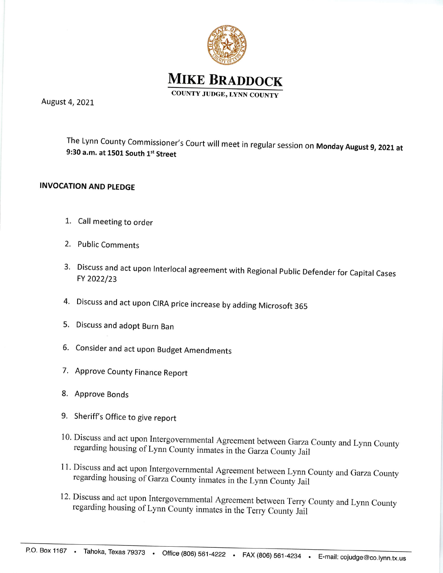



August 4,2OZL

The Lynn County Commissioner's Court will meet in regular session on Monday August 9, 2021 at 9:30 a.m. at 1501 South  $1<sup>st</sup>$  Street

## INVOCATION AND PLEDGE

- 1. Call meeting to order
- 2. Public Comments
- Discuss and act upon lnterlocal agreement with Regional public Defender for capital cases 3. FY 2022/23
- 4. Discuss and act upon CIRA price increase by adding Microsoft 365
- 5. Discuss and adopt Burn Ban
- 6. Consider and act upon Budget Amendments
- 7. Approve County Finance Report
- 8. Approve Bonds
- 9. Sheriff's Office to give report
- 10. Discuss and act upon Intergovernmental Agreement between Garza County and Lynn County regarding housing of Lynn County inmates in the Garza County Jail
- 11. Discuss and act upon Intergovernmental Agreement between Lynn County and Garza County regarding housing of Garza County inmates in the Lynn County Jail
- 12. Discuss and act upon Intergovernmental Agreement between Terry County and Lynn County regarding housing of Lynn County inmates in the Terry County Jail